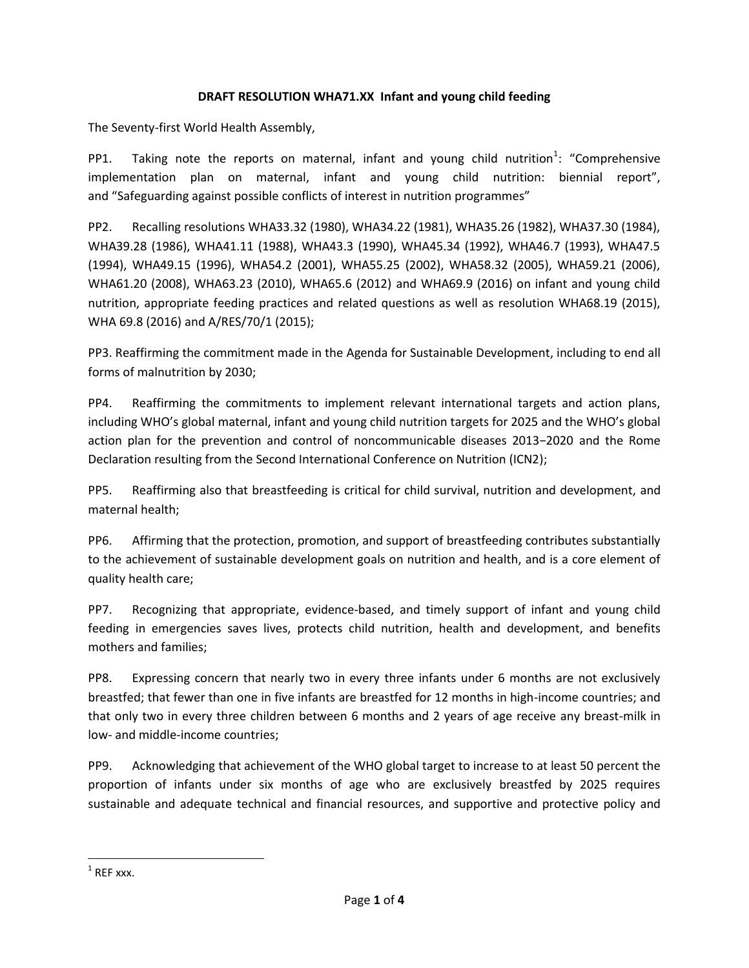## **DRAFT RESOLUTION WHA71.XX Infant and young child feeding**

The Seventy-first World Health Assembly,

PP1. Taking note the reports on maternal, infant and young child nutrition<sup>1</sup>: "Comprehensive implementation plan on maternal, infant and young child nutrition: biennial report", and "Safeguarding against possible conflicts of interest in nutrition programmes"

PP2. Recalling resolutions WHA33.32 (1980), WHA34.22 (1981), WHA35.26 (1982), WHA37.30 (1984), WHA39.28 (1986), WHA41.11 (1988), WHA43.3 (1990), WHA45.34 (1992), WHA46.7 (1993), WHA47.5 (1994), WHA49.15 (1996), WHA54.2 (2001), WHA55.25 (2002), WHA58.32 (2005), WHA59.21 (2006), WHA61.20 (2008), WHA63.23 (2010), WHA65.6 (2012) and WHA69.9 (2016) on infant and young child nutrition, appropriate feeding practices and related questions as well as resolution WHA68.19 (2015), WHA 69.8 (2016) and A/RES/70/1 (2015);

PP3. Reaffirming the commitment made in the Agenda for Sustainable Development, including to end all forms of malnutrition by 2030;

PP4. Reaffirming the commitments to implement relevant international targets and action plans, including WHO's global maternal, infant and young child nutrition targets for 2025 and the WHO's global action plan for the prevention and control of noncommunicable diseases 2013−2020 and the Rome Declaration resulting from the Second International Conference on Nutrition (ICN2);

PP5. Reaffirming also that breastfeeding is critical for child survival, nutrition and development, and maternal health;

PP6. Affirming that the protection, promotion, and support of breastfeeding contributes substantially to the achievement of sustainable development goals on nutrition and health, and is a core element of quality health care;

PP7. Recognizing that appropriate, evidence-based, and timely support of infant and young child feeding in emergencies saves lives, protects child nutrition, health and development, and benefits mothers and families;

PP8. Expressing concern that nearly two in every three infants under 6 months are not exclusively breastfed; that fewer than one in five infants are breastfed for 12 months in high-income countries; and that only two in every three children between 6 months and 2 years of age receive any breast-milk in low- and middle-income countries;

PP9. Acknowledging that achievement of the WHO global target to increase to at least 50 percent the proportion of infants under six months of age who are exclusively breastfed by 2025 requires sustainable and adequate technical and financial resources, and supportive and protective policy and

 $\overline{\phantom{a}}$ 

 $1$  REF xxx.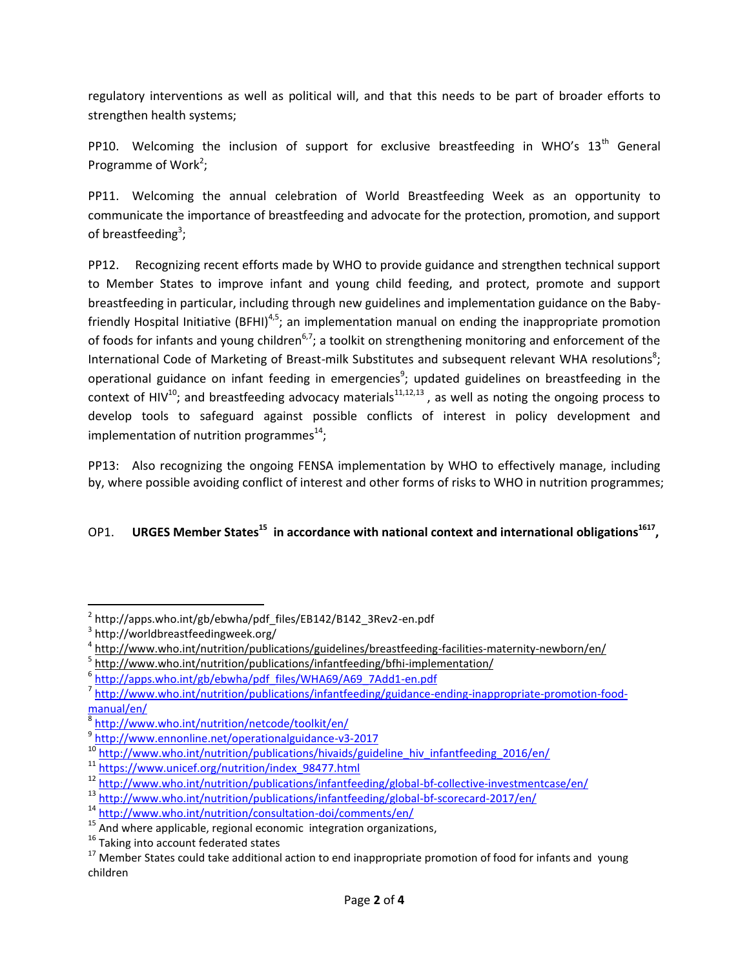regulatory interventions as well as political will, and that this needs to be part of broader efforts to strengthen health systems;

PP10. Welcoming the inclusion of support for exclusive breastfeeding in WHO's  $13<sup>th</sup>$  General Programme of Work<sup>2</sup>;

PP11. Welcoming the annual celebration of World Breastfeeding Week as an opportunity to communicate the importance of breastfeeding and advocate for the protection, promotion, and support of breastfeeding<sup>3</sup>;

PP12. Recognizing recent efforts made by WHO to provide guidance and strengthen technical support to Member States to improve infant and young child feeding, and protect, promote and support breastfeeding in particular, including through new guidelines and implementation guidance on the Babyfriendly Hospital Initiative (BFHI)<sup>4,5</sup>; an implementation manual on ending the inappropriate promotion of foods for infants and young children<sup>6,7</sup>; a toolkit on strengthening monitoring and enforcement of the International Code of Marketing of Breast-milk Substitutes and subsequent relevant WHA resolutions<sup>8</sup>; operational guidance on infant feeding in emergencies<sup>9</sup>; updated guidelines on breastfeeding in the context of HIV<sup>10</sup>; and breastfeeding advocacy materials<sup>11,12,13</sup>, as well as noting the ongoing process to develop tools to safeguard against possible conflicts of interest in policy development and implementation of nutrition programmes $^{14}$ ;

PP13: Also recognizing the ongoing FENSA implementation by WHO to effectively manage, including by, where possible avoiding conflict of interest and other forms of risks to WHO in nutrition programmes;

## OP1. **URGES Member States<sup>15</sup> in accordance with national context and international obligations<sup>1617</sup> ,**

l

<sup>&</sup>lt;sup>2</sup> http://apps.who.int/gb/ebwha/pdf\_files/EB142/B142\_3Rev2-en.pdf

<sup>3</sup> http://worldbreastfeedingweek.org/

<sup>4</sup> <http://www.who.int/nutrition/publications/guidelines/breastfeeding-facilities-maternity-newborn/en/>

<sup>&</sup>lt;sup>5</sup> <http://www.who.int/nutrition/publications/infantfeeding/bfhi-implementation/>

<sup>&</sup>lt;sup>6</sup> [http://apps.who.int/gb/ebwha/pdf\\_files/WHA69/A69\\_7Add1-en.pdf](http://apps.who.int/gb/ebwha/pdf_files/WHA69/A69_7Add1-en.pdf)

<sup>&</sup>lt;sup>7</sup> [http://www.who.int/nutrition/publications/infantfeeding/guidance-ending-inappropriate-promotion-food](http://www.who.int/nutrition/publications/infantfeeding/guidance-ending-inappropriate-promotion-food-manual/en/)[manual/en/](http://www.who.int/nutrition/publications/infantfeeding/guidance-ending-inappropriate-promotion-food-manual/en/)

<sup>8</sup> <http://www.who.int/nutrition/netcode/toolkit/en/>

<sup>&</sup>lt;sup>9</sup> <http://www.ennonline.net/operationalguidance-v3-2017>

<sup>&</sup>lt;sup>10</sup> [http://www.who.int/nutrition/publications/hivaids/guideline\\_hiv\\_infantfeeding\\_2016/en/](http://www.who.int/nutrition/publications/hivaids/guideline_hiv_infantfeeding_2016/en/)

<sup>11</sup> [https://www.unicef.org/nutrition/index\\_98477.html](https://www.unicef.org/nutrition/index_98477.html)

<sup>12</sup> <http://www.who.int/nutrition/publications/infantfeeding/global-bf-collective-investmentcase/en/>

<sup>13</sup> <http://www.who.int/nutrition/publications/infantfeeding/global-bf-scorecard-2017/en/>

<sup>14</sup> <http://www.who.int/nutrition/consultation-doi/comments/en/>

<sup>&</sup>lt;sup>15</sup> And where applicable, regional economic integration organizations,

<sup>&</sup>lt;sup>16</sup> Taking into account federated states

 $17$  Member States could take additional action to end inappropriate promotion of food for infants and young children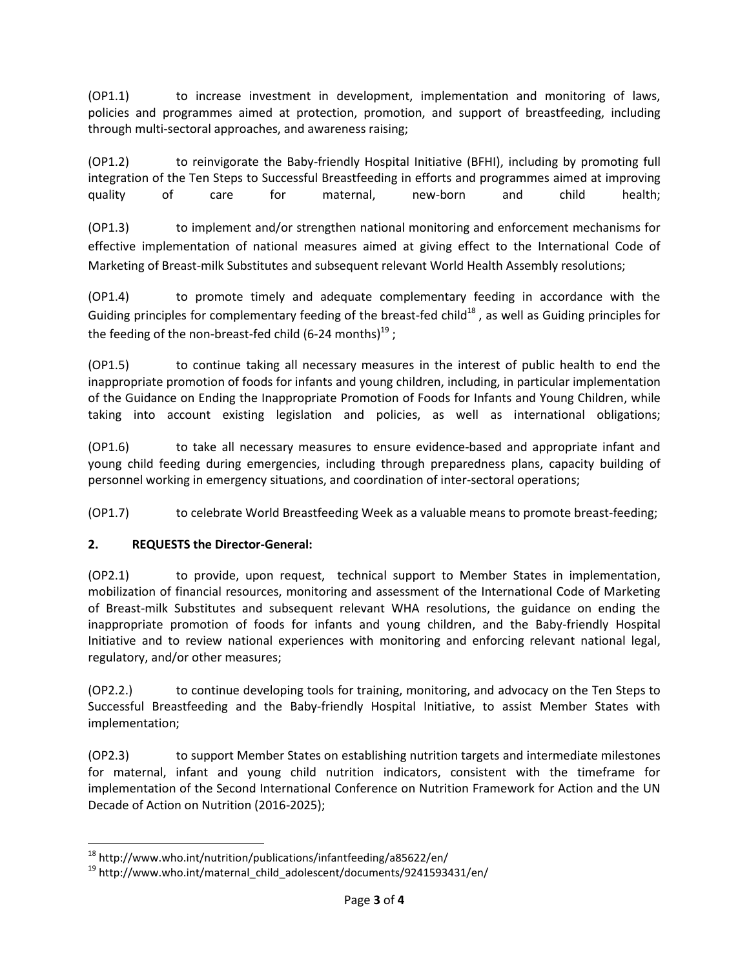(OP1.1) to increase investment in development, implementation and monitoring of laws, policies and programmes aimed at protection, promotion, and support of breastfeeding, including through multi-sectoral approaches, and awareness raising;

(OP1.2) to reinvigorate the Baby-friendly Hospital Initiative (BFHI), including by promoting full integration of the Ten Steps to Successful Breastfeeding in efforts and programmes aimed at improving quality of care for maternal, new-born and child health;

(OP1.3) to implement and/or strengthen national monitoring and enforcement mechanisms for effective implementation of national measures aimed at giving effect to the International Code of Marketing of Breast-milk Substitutes and subsequent relevant World Health Assembly resolutions;

(OP1.4) to promote timely and adequate complementary feeding in accordance with the Guiding principles for complementary feeding of the breast-fed child<sup>18</sup>, as well as Guiding principles for the feeding of the non-breast-fed child (6-24 months) $^{19}$  ;

(OP1.5) to continue taking all necessary measures in the interest of public health to end the inappropriate promotion of foods for infants and young children, including, in particular implementation of the Guidance on Ending the Inappropriate Promotion of Foods for Infants and Young Children, while taking into account existing legislation and policies, as well as international obligations;

(OP1.6) to take all necessary measures to ensure evidence-based and appropriate infant and young child feeding during emergencies, including through preparedness plans, capacity building of personnel working in emergency situations, and coordination of inter-sectoral operations;

(OP1.7) to celebrate World Breastfeeding Week as a valuable means to promote breast-feeding;

## **2. REQUESTS the Director-General:**

l

(OP2.1) to provide, upon request, technical support to Member States in implementation, mobilization of financial resources, monitoring and assessment of the International Code of Marketing of Breast-milk Substitutes and subsequent relevant WHA resolutions, the guidance on ending the inappropriate promotion of foods for infants and young children, and the Baby-friendly Hospital Initiative and to review national experiences with monitoring and enforcing relevant national legal, regulatory, and/or other measures;

(OP2.2.) to continue developing tools for training, monitoring, and advocacy on the Ten Steps to Successful Breastfeeding and the Baby-friendly Hospital Initiative, to assist Member States with implementation;

(OP2.3) to support Member States on establishing nutrition targets and intermediate milestones for maternal, infant and young child nutrition indicators, consistent with the timeframe for implementation of the Second International Conference on Nutrition Framework for Action and the UN Decade of Action on Nutrition (2016-2025);

<sup>18</sup> http://www.who.int/nutrition/publications/infantfeeding/a85622/en/

<sup>19</sup> http://www.who.int/maternal\_child\_adolescent/documents/9241593431/en/